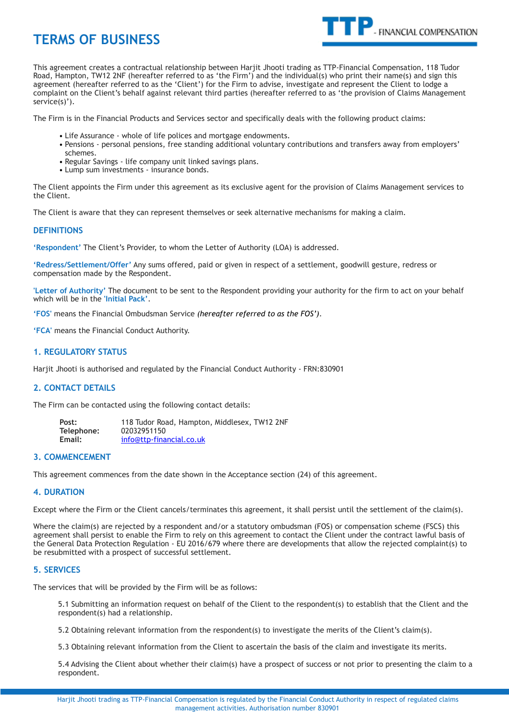# **TERMS OF BUSINESS**



This agreement creates a contractual relationship between Harjit Jhooti trading as TTP-Financial Compensation, 118 Tudor Road, Hampton, TW12 2NF (hereafter referred to as 'the Firm') and the individual(s) who print their name(s) and sign this agreement (hereafter referred to as the 'Client') for the Firm to advise, investigate and represent the Client to lodge a complaint on the Client's behalf against relevant third parties (hereafter referred to as 'the provision of Claims Management service(s)').

The Firm is in the Financial Products and Services sector and specifically deals with the following product claims:

- Life Assurance whole of life polices and mortgage endowments.
- Pensions personal pensions, free standing additional voluntary contributions and transfers away from employers' schemes.
- Regular Savings life company unit linked savings plans.
- Lump sum investments insurance bonds.

The Client appoints the Firm under this agreement as its exclusive agent for the provision of Claims Management services to the Client.

The Client is aware that they can represent themselves or seek alternative mechanisms for making a claim.

### **DEFINITIONS**

**'Respondent'** The Client's Provider, to whom the Letter of Authority (LOA) is addressed.

**'Redress/Settlement/Offer'** Any sums offered, paid or given in respect of a settlement, goodwill gesture, redress or compensation made by the Respondent.

**'Letter of Authority'** The document to be sent to the Respondent providing your authority for the firm to act on your behalf which will be in the **'Initial Pack'**.

**'FOS'** means the Financial Ombudsman Service *(hereafter referred to as the FOS')*.

**'FCA'** means the Financial Conduct Authority.

## **1. REGULATORY STATUS**

Harjit Jhooti is authorised and regulated by the Financial Conduct Authority - FRN:830901

#### **2. CONTACT DETAILS**

The Firm can be contacted using the following contact details:

 **Post:** 118 Tudor Road, Hampton, Middlesex, TW12 2NF **Telephone:** 02032951150 **Email:** info@ttp-financial.co.uk

#### **3. COMMENCEMENT**

This agreement commences from the date shown in the Acceptance section (24) of this agreement.

#### **4. DURATION**

Except where the Firm or the Client cancels/terminates this agreement, it shall persist until the settlement of the claim(s).

Where the claim(s) are rejected by a respondent and/or a statutory ombudsman (FOS) or compensation scheme (FSCS) this agreement shall persist to enable the Firm to rely on this agreement to contact the Client under the contract lawful basis of the General Data Protection Regulation - EU 2016/679 where there are developments that allow the rejected complaint(s) to be resubmitted with a prospect of successful settlement.

# **5. SERVICES**

The services that will be provided by the Firm will be as follows:

5.1 Submitting an information request on behalf of the Client to the respondent(s) to establish that the Client and the respondent(s) had a relationship.

5.2 Obtaining relevant information from the respondent(s) to investigate the merits of the Client's claim(s).

5.3 Obtaining relevant information from the Client to ascertain the basis of the claim and investigate its merits.

5.4 Advising the Client about whether their claim(s) have a prospect of success or not prior to presenting the claim to a respondent.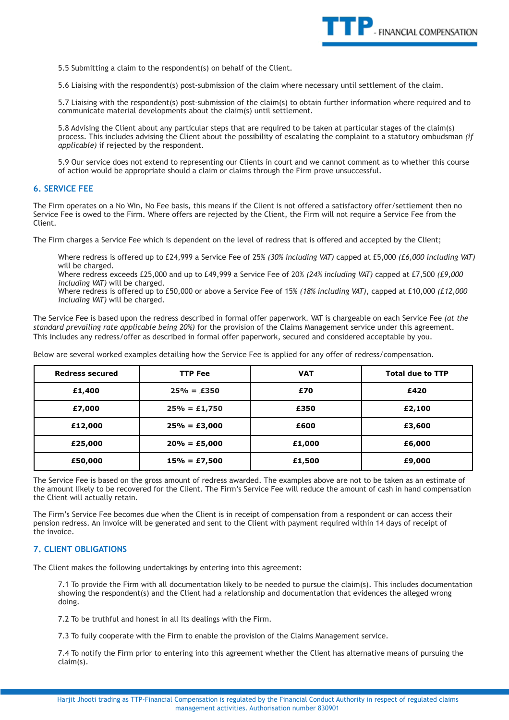

5.5 Submitting a claim to the respondent(s) on behalf of the Client.

5.6 Liaising with the respondent(s) post-submission of the claim where necessary until settlement of the claim.

5.7 Liaising with the respondent(s) post-submission of the claim(s) to obtain further information where required and to communicate material developments about the claim(s) until settlement.

5.8 Advising the Client about any particular steps that are required to be taken at particular stages of the claim(s) process. This includes advising the Client about the possibility of escalating the complaint to a statutory ombudsman *(if applicable)* if rejected by the respondent.

5.9 Our service does not extend to representing our Clients in court and we cannot comment as to whether this course of action would be appropriate should a claim or claims through the Firm prove unsuccessful.

#### **6. SERVICE FEE**

The Firm operates on a No Win, No Fee basis, this means if the Client is not offered a satisfactory offer/settlement then no Service Fee is owed to the Firm. Where offers are rejected by the Client, the Firm will not require a Service Fee from the Client.

The Firm charges a Service Fee which is dependent on the level of redress that is offered and accepted by the Client;

Where redress is offered up to £24,999 a Service Fee of 25% *(30% including VAT)* capped at £5,000 *(£6,000 including VAT)*  will be charged.

Where redress exceeds £25,000 and up to £49,999 a Service Fee of 20% *(24% including VAT)* capped at £7,500 *(£9,000 including VAT)* will be charged.

Where redress is offered up to £50,000 or above a Service Fee of 15% *(18% including VAT)*, capped at £10,000 *(£12,000 including VAT)* will be charged.

The Service Fee is based upon the redress described in formal offer paperwork. VAT is chargeable on each Service Fee *(at the standard prevailing rate applicable being 20%)* for the provision of the Claims Management service under this agreement. This includes any redress/offer as described in formal offer paperwork, secured and considered acceptable by you.

Below are several worked examples detailing how the Service Fee is applied for any offer of redress/compensation.

| <b>Redress secured</b> | <b>TTP Fee</b>  | <b>VAT</b> | <b>Total due to TTP</b> |
|------------------------|-----------------|------------|-------------------------|
| £1,400                 | $25% = £350$    | £70        | £420                    |
| £7,000                 | $25% = £1,750$  | £350       | £2,100                  |
| £12,000                | $25% = £3,000$  | £600       | £3,600                  |
| £25,000                | $20% = £5,000$  | £1,000     | £6,000                  |
| £50,000                | $15\% = £7,500$ | £1,500     | £9,000                  |

The Service Fee is based on the gross amount of redress awarded. The examples above are not to be taken as an estimate of the amount likely to be recovered for the Client. The Firm's Service Fee will reduce the amount of cash in hand compensation the Client will actually retain.

The Firm's Service Fee becomes due when the Client is in receipt of compensation from a respondent or can access their pension redress. An invoice will be generated and sent to the Client with payment required within 14 days of receipt of the invoice.

# **7. CLIENT OBLIGATIONS**

The Client makes the following undertakings by entering into this agreement:

7.1 To provide the Firm with all documentation likely to be needed to pursue the claim(s). This includes documentation showing the respondent(s) and the Client had a relationship and documentation that evidences the alleged wrong doing.

7.2 To be truthful and honest in all its dealings with the Firm.

7.3 To fully cooperate with the Firm to enable the provision of the Claims Management service.

7.4 To notify the Firm prior to entering into this agreement whether the Client has alternative means of pursuing the claim(s).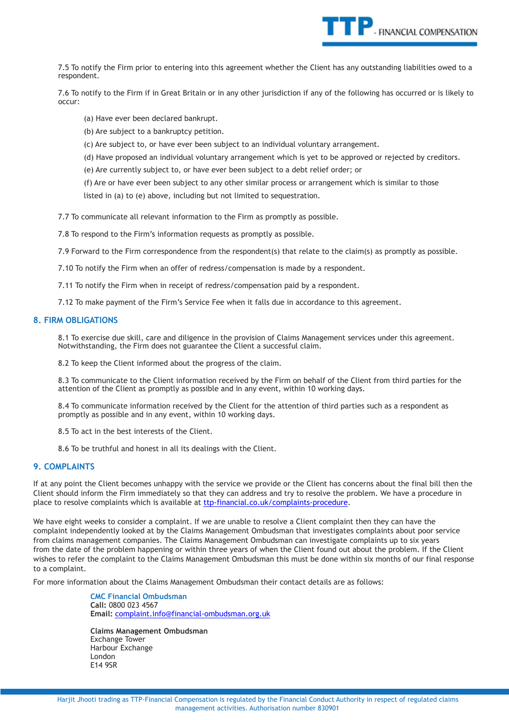

7.5 To notify the Firm prior to entering into this agreement whether the Client has any outstanding liabilities owed to a respondent.

7.6 To notify to the Firm if in Great Britain or in any other jurisdiction if any of the following has occurred or is likely to occur:

(a) Have ever been declared bankrupt.

(b) Are subject to a bankruptcy petition.

(c) Are subject to, or have ever been subject to an individual voluntary arrangement.

(d) Have proposed an individual voluntary arrangement which is yet to be approved or rejected by creditors.

(e) Are currently subject to, or have ever been subject to a debt relief order; or

(f) Are or have ever been subject to any other similar process or arrangement which is similar to those

listed in (a) to (e) above, including but not limited to sequestration.

7.7 To communicate all relevant information to the Firm as promptly as possible.

7.8 To respond to the Firm's information requests as promptly as possible.

7.9 Forward to the Firm correspondence from the respondent(s) that relate to the claim(s) as promptly as possible.

7.10 To notify the Firm when an offer of redress/compensation is made by a respondent.

7.11 To notify the Firm when in receipt of redress/compensation paid by a respondent.

7.12 To make payment of the Firm's Service Fee when it falls due in accordance to this agreement.

#### **8. FIRM OBLIGATIONS**

8.1 To exercise due skill, care and diligence in the provision of Claims Management services under this agreement. Notwithstanding, the Firm does not guarantee the Client a successful claim.

8.2 To keep the Client informed about the progress of the claim.

8.3 To communicate to the Client information received by the Firm on behalf of the Client from third parties for the attention of the Client as promptly as possible and in any event, within 10 working days.

8.4 To communicate information received by the Client for the attention of third parties such as a respondent as promptly as possible and in any event, within 10 working days.

8.5 To act in the best interests of the Client.

8.6 To be truthful and honest in all its dealings with the Client.

# **9. COMPLAINTS**

If at any point the Client becomes unhappy with the service we provide or the Client has concerns about the final bill then the Client should inform the Firm immediately so that they can address and try to resolve the problem. We have a procedure in place to resolve complaints which is available at [ttp-financial.co.uk/complaints-procedure](http://ttp-financial.co.uk/complaints-procedure).

We have eight weeks to consider a complaint. If we are unable to resolve a Client complaint then they can have the complaint independently looked at by the Claims Management Ombudsman that investigates complaints about poor service from claims management companies. The Claims Management Ombudsman can investigate complaints up to six years from the date of the problem happening or within three years of when the Client found out about the problem. If the Client wishes to refer the complaint to the Claims Management Ombudsman this must be done within six months of our final response to a complaint.

For more information about the Claims Management Ombudsman their contact details are as follows:

**CMC Financial Ombudsman Call:** 0800 023 4567 **Email:** [complaint.info@financial-ombudsman.org.uk](mailto:complaint.info@financial-ombudsman.org.uk)

**Claims Management Ombudsman** Exchange Tower Harbour Exchange London E14 9SR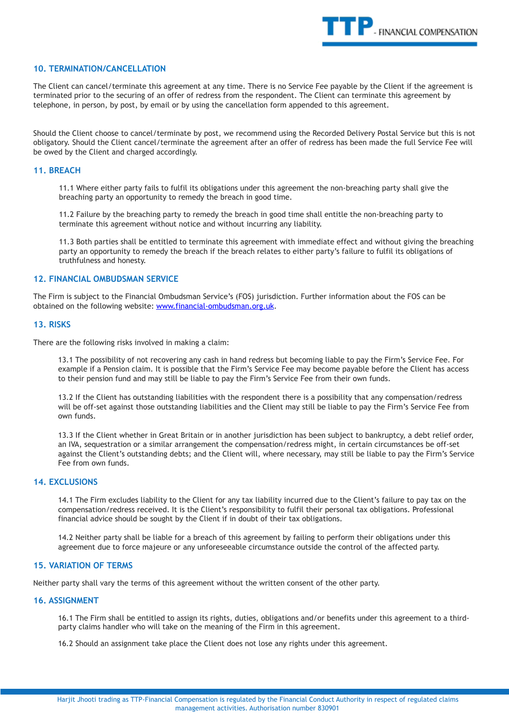

## **10. TERMINATION/CANCELLATION**

The Client can cancel/terminate this agreement at any time. There is no Service Fee payable by the Client if the agreement is terminated prior to the securing of an offer of redress from the respondent. The Client can terminate this agreement by telephone, in person, by post, by email or by using the cancellation form appended to this agreement.

Should the Client choose to cancel/terminate by post, we recommend using the Recorded Delivery Postal Service but this is not obligatory. Should the Client cancel/terminate the agreement after an offer of redress has been made the full Service Fee will be owed by the Client and charged accordingly.

#### **11. BREACH**

11.1 Where either party fails to fulfil its obligations under this agreement the non-breaching party shall give the breaching party an opportunity to remedy the breach in good time.

11.2 Failure by the breaching party to remedy the breach in good time shall entitle the non-breaching party to terminate this agreement without notice and without incurring any liability.

11.3 Both parties shall be entitled to terminate this agreement with immediate effect and without giving the breaching party an opportunity to remedy the breach if the breach relates to either party's failure to fulfil its obligations of truthfulness and honesty.

### **12. FINANCIAL OMBUDSMAN SERVICE**

The Firm is subject to the Financial Ombudsman Service's (FOS) jurisdiction. Further information about the FOS can be obtained on the following website: [www.financial-ombudsman.org.uk](http://www.financial-ombudsman.org.uk/).

#### **13. RISKS**

There are the following risks involved in making a claim:

13.1 The possibility of not recovering any cash in hand redress but becoming liable to pay the Firm's Service Fee. For example if a Pension claim. It is possible that the Firm's Service Fee may become payable before the Client has access to their pension fund and may still be liable to pay the Firm's Service Fee from their own funds.

13.2 If the Client has outstanding liabilities with the respondent there is a possibility that any compensation/redress will be off-set against those outstanding liabilities and the Client may still be liable to pay the Firm's Service Fee from own funds.

13.3 If the Client whether in Great Britain or in another jurisdiction has been subject to bankruptcy, a debt relief order, an IVA, sequestration or a similar arrangement the compensation/redress might, in certain circumstances be off-set against the Client's outstanding debts; and the Client will, where necessary, may still be liable to pay the Firm's Service Fee from own funds.

# **14. EXCLUSIONS**

14.1 The Firm excludes liability to the Client for any tax liability incurred due to the Client's failure to pay tax on the compensation/redress received. It is the Client's responsibility to fulfil their personal tax obligations. Professional financial advice should be sought by the Client if in doubt of their tax obligations.

14.2 Neither party shall be liable for a breach of this agreement by failing to perform their obligations under this agreement due to force majeure or any unforeseeable circumstance outside the control of the affected party.

### **15. VARIATION OF TERMS**

Neither party shall vary the terms of this agreement without the written consent of the other party.

### **16. ASSIGNMENT**

16.1 The Firm shall be entitled to assign its rights, duties, obligations and/or benefits under this agreement to a thirdparty claims handler who will take on the meaning of the Firm in this agreement.

16.2 Should an assignment take place the Client does not lose any rights under this agreement.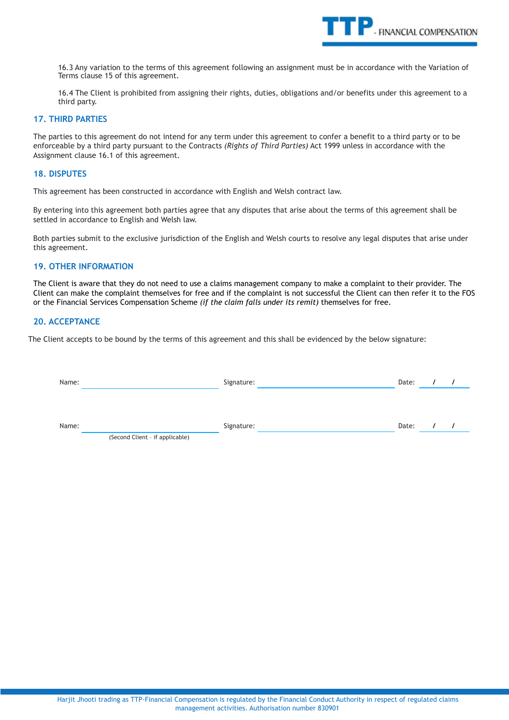

16.3 Any variation to the terms of this agreement following an assignment must be in accordance with the Variation of Terms clause 15 of this agreement.

16.4 The Client is prohibited from assigning their rights, duties, obligations and/or benefits under this agreement to a third party.

# **17. THIRD PARTIES**

The parties to this agreement do not intend for any term under this agreement to confer a benefit to a third party or to be enforceable by a third party pursuant to the Contracts *(Rights of Third Parties)* Act 1999 unless in accordance with the Assignment clause 16.1 of this agreement.

# **18. DISPUTES**

This agreement has been constructed in accordance with English and Welsh contract law.

By entering into this agreement both parties agree that any disputes that arise about the terms of this agreement shall be settled in accordance to English and Welsh law.

Both parties submit to the exclusive jurisdiction of the English and Welsh courts to resolve any legal disputes that arise under this agreement.

#### **19. OTHER INFORMATION**

The Client is aware that they do not need to use a claims management company to make a complaint to their provider. The Client can make the complaint themselves for free and if the complaint is not successful the Client can then refer it to the FOS or the Financial Services Compensation Scheme *(if the claim falls under its remit)* themselves for free.

# **20. ACCEPTANCE**

The Client accepts to be bound by the terms of this agreement and this shall be evidenced by the below signature:

| Name: |                                 |            | Signature: |       |            |  |
|-------|---------------------------------|------------|------------|-------|------------|--|
|       |                                 |            |            |       |            |  |
| Name: |                                 | Signature: |            | Date: | $\sqrt{ }$ |  |
|       | (Second Client - if applicable) |            |            |       |            |  |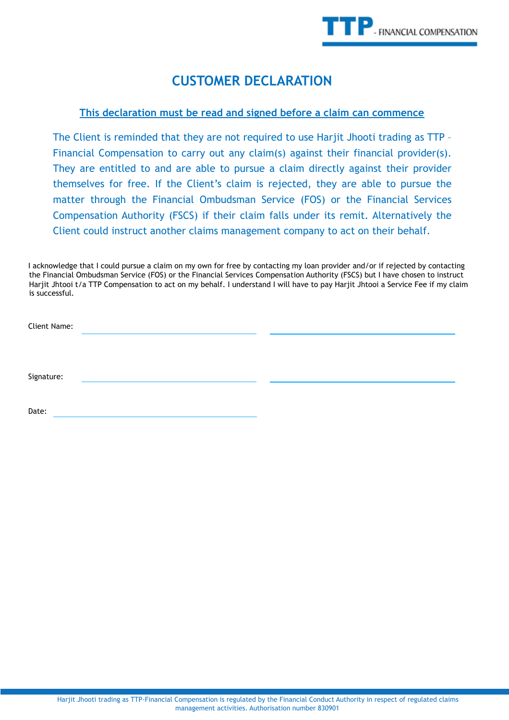# **CUSTOMER DECLARATION**

# **This declaration must be read and signed before a claim can commence**

The Client is reminded that they are not required to use Harjit Jhooti trading as TTP – Financial Compensation to carry out any claim(s) against their financial provider(s). They are entitled to and are able to pursue a claim directly against their provider themselves for free. If the Client's claim is rejected, they are able to pursue the matter through the Financial Ombudsman Service (FOS) or the Financial Services Compensation Authority (FSCS) if their claim falls under its remit. Alternatively the Client could instruct another claims management company to act on their behalf.

I acknowledge that I could pursue a claim on my own for free by contacting my loan provider and/or if rejected by contacting the Financial Ombudsman Service (FOS) or the Financial Services Compensation Authority (FSCS) but I have chosen to instruct Harjit Jhtooi t/a TTP Compensation to act on my behalf. I understand I will have to pay Harjit Jhtooi a Service Fee if my claim is successful.

| Client Name: |  |  |
|--------------|--|--|
|              |  |  |
|              |  |  |
|              |  |  |
| Signature:   |  |  |
|              |  |  |

Date: